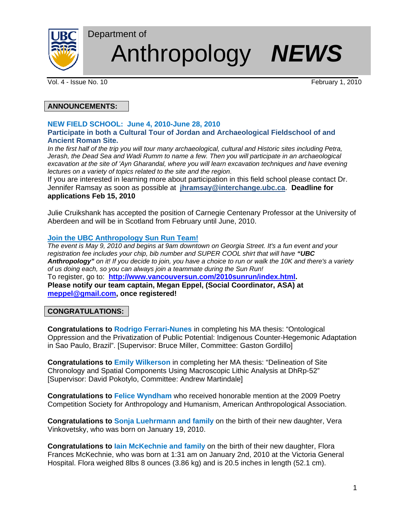

# Anthropology *NEWS*

Vol. 4 - Issue No. 10 **February 1, 2010** 

## **ANNOUNCEMENTS:**

#### **NEW FIELD SCHOOL: June 4, 2010-June 28, 2010 Participate in both a Cultural Tour of Jordan and Archaeological Fieldschool of and Ancient Roman Site.**

*In the first half of the trip you will tour many archaeological, cultural and Historic sites including Petra, Jerash, the Dead Sea and Wadi Rumm to name a few. Then you will participate in an archaeological excavation at the site of 'Ayn Gharandal, where you will learn excavation techniques and have evening lectures on a variety of topics related to the site and the region*.

If you are interested in learning more about participation in this field school please contact Dr. Jennifer Ramsay as soon as possible at **jhramsay@interchange.ubc.ca**. **Deadline for applications Feb 15, 2010** 

Julie Cruikshank has accepted the position of Carnegie Centenary Professor at the University of Aberdeen and will be in Scotland from February until June, 2010.

#### **Join the UBC Anthropology Sun Run Team!**

Department of

*The event is May 9, 2010 and begins at 9am downtown on Georgia Street. It's a fun event and your registration fee includes your chip, bib number and SUPER COOL shirt that will have "UBC Anthropology" on it! If you decide to join, you have a choice to run or walk the 10K and there's a variety of us doing each, so you can always join a teammate during the Sun Run!*  To register, go to: **http://www.vancouversun.com/2010sunrun/index.html. Please notify our team captain, Megan Eppel, (Social Coordinator, ASA) at meppel@gmail.com, once registered!** 

## **CONGRATULATIONS:**

**Congratulations to Rodrigo Ferrari-Nunes** in completing his MA thesis: "Ontological Oppression and the Privatization of Public Potential: Indigenous Counter-Hegemonic Adaptation in Sao Paulo, Brazil". [Supervisor: Bruce Miller, Committee: Gaston Gordillo]

**Congratulations to Emily Wilkerson** in completing her MA thesis: "Delineation of Site Chronology and Spatial Components Using Macroscopic Lithic Analysis at DhRp-52" [Supervisor: David Pokotylo, Committee: Andrew Martindale]

**Congratulations to Felice Wyndham** who received honorable mention at the 2009 Poetry Competition Society for Anthropology and Humanism, American Anthropological Association.

**Congratulations to Sonja Luehrmann and family** on the birth of their new daughter, Vera Vinkovetsky, who was born on January 19, 2010.

**Congratulations to Iain McKechnie and family** on the birth of their new daughter, Flora Frances McKechnie, who was born at 1:31 am on January 2nd, 2010 at the Victoria General Hospital. Flora weighed 8lbs 8 ounces (3.86 kg) and is 20.5 inches in length (52.1 cm).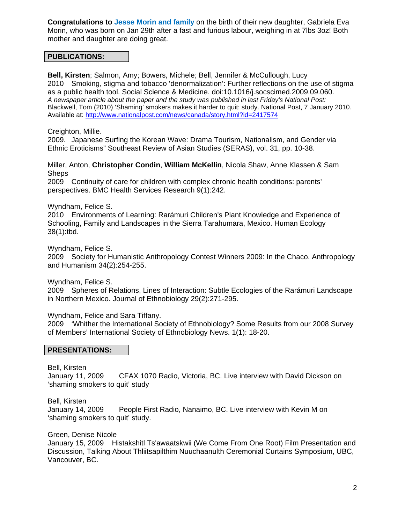**Congratulations to Jesse Morin and family** on the birth of their new daughter, Gabriela Eva Morin, who was born on Jan 29th after a fast and furious labour, weighing in at 7lbs 3oz! Both mother and daughter are doing great.

#### **PUBLICATIONS:**

**Bell, Kirsten**; Salmon, Amy; Bowers, Michele; Bell, Jennifer & McCullough, Lucy 2010 Smoking, stigma and tobacco 'denormalization': Further reflections on the use of stigma as a public health tool. Social Science & Medicine. doi:10.1016/j.socscimed.2009.09.060. *A newspaper article about the paper and the study was published in last Friday's National Post:*  Blackwell, Tom (2010) 'Shaming' smokers makes it harder to quit: study. National Post, 7 January 2010. Available at: http://www.nationalpost.com/news/canada/story.html?id=2417574

Creighton, Millie.

2009. Japanese Surfing the Korean Wave: Drama Tourism, Nationalism, and Gender via Ethnic Eroticisms" Southeast Review of Asian Studies (SERAS), vol. 31, pp. 10-38.

Miller, Anton, **Christopher Condin**, **William McKellin**, Nicola Shaw, Anne Klassen & Sam **Sheps** 

2009 Continuity of care for children with complex chronic health conditions: parents' perspectives. BMC Health Services Research 9(1):242.

Wyndham, Felice S.

2010 Environments of Learning: Rarámuri Children's Plant Knowledge and Experience of Schooling, Family and Landscapes in the Sierra Tarahumara, Mexico. Human Ecology 38(1):tbd.

Wyndham, Felice S.

2009 Society for Humanistic Anthropology Contest Winners 2009: In the Chaco. Anthropology and Humanism 34(2):254-255.

Wyndham, Felice S.

2009 Spheres of Relations, Lines of Interaction: Subtle Ecologies of the Rarámuri Landscape in Northern Mexico. Journal of Ethnobiology 29(2):271-295.

Wyndham, Felice and Sara Tiffany.

2009 'Whither the International Society of Ethnobiology? Some Results from our 2008 Survey of Members' International Society of Ethnobiology News. 1(1): 18-20.

#### **PRESENTATIONS:**

Bell, Kirsten

January 11, 2009 CFAX 1070 Radio, Victoria, BC. Live interview with David Dickson on 'shaming smokers to quit' study

Bell, Kirsten

January 14, 2009 People First Radio, Nanaimo, BC. Live interview with Kevin M on 'shaming smokers to quit' study.

Green, Denise Nicole

January 15, 2009 Histakshitl Ts'awaatskwii (We Come From One Root) Film Presentation and Discussion, Talking About Thliitsapilthim Nuuchaanulth Ceremonial Curtains Symposium, UBC, Vancouver, BC.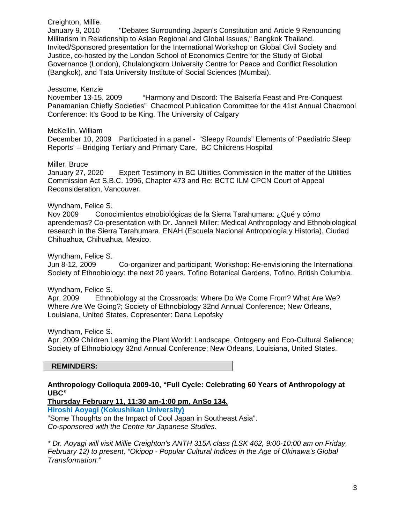Creighton, Millie.

January 9, 2010 "Debates Surrounding Japan's Constitution and Article 9 Renouncing Militarism in Relationship to Asian Regional and Global Issues," Bangkok Thailand. Invited/Sponsored presentation for the International Workshop on Global Civil Society and Justice, co-hosted by the London School of Economics Centre for the Study of Global Governance (London), Chulalongkorn University Centre for Peace and Conflict Resolution (Bangkok), and Tata University Institute of Social Sciences (Mumbai).

Jessome, Kenzie "Harmony and Discord: The Balsería Feast and Pre-Conquest Panamanian Chiefly Societies" Chacmool Publication Committee for the 41st Annual Chacmool Conference: It's Good to be King. The University of Calgary

McKellin. William

December 10, 2009 Participated in a panel - "Sleepy Rounds" Elements of 'Paediatric Sleep Reports' – Bridging Tertiary and Primary Care, BC Childrens Hospital

Miller, Bruce

January 27, 2020 Expert Testimony in BC Utilities Commission in the matter of the Utilities Commission Act S.B.C. 1996, Chapter 473 and Re: BCTC ILM CPCN Court of Appeal Reconsideration, Vancouver.

#### Wyndham, Felice S.

Nov 2009 Conocimientos etnobiológicas de la Sierra Tarahumara: ¿Qué y cómo aprendemos? Co-presentation with Dr. Janneli Miller: Medical Anthropology and Ethnobiological research in the Sierra Tarahumara. ENAH (Escuela Nacional Antropología y Historia), Ciudad Chihuahua, Chihuahua, Mexico.

Wyndham, Felice S.

Jun 8-12, 2009 Co-organizer and participant, Workshop: Re-envisioning the International Society of Ethnobiology: the next 20 years. Tofino Botanical Gardens, Tofino, British Columbia.

Wyndham, Felice S.

Apr, 2009 Ethnobiology at the Crossroads: Where Do We Come From? What Are We? Where Are We Going?; Society of Ethnobiology 32nd Annual Conference; New Orleans, Louisiana, United States. Copresenter: Dana Lepofsky

Wyndham, Felice S.

Apr, 2009 Children Learning the Plant World: Landscape, Ontogeny and Eco-Cultural Salience; Society of Ethnobiology 32nd Annual Conference; New Orleans, Louisiana, United States.

 **REMINDERS:** 

**Anthropology Colloquia 2009-10, "Full Cycle: Celebrating 60 Years of Anthropology at UBC"** 

**Thursday February 11, 11:30 am-1:00 pm, AnSo 134.** 

**Hiroshi Aoyagi (Kokushikan University)**

"Some Thoughts on the Impact of Cool Japan in Southeast Asia". *Co-sponsored with the Centre for Japanese Studies.* 

*\* Dr. Aoyagi will visit Millie Creighton's ANTH 315A class (LSK 462, 9:00-10:00 am on Friday, February 12) to present, "Okipop - Popular Cultural Indices in the Age of Okinawa's Global Transformation."*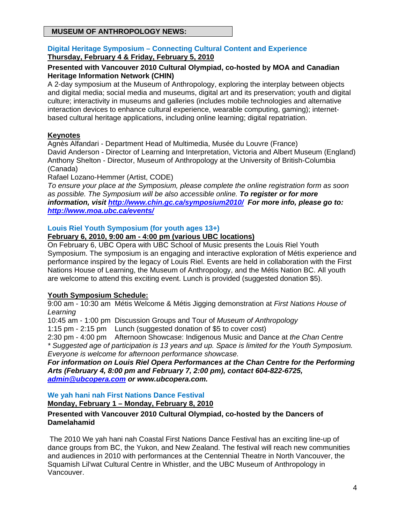## **MUSEUM OF ANTHROPOLOGY NEWS:**

## **Digital Heritage Symposium – Connecting Cultural Content and Experience Thursday, February 4 & Friday, February 5, 2010**

## **Presented with Vancouver 2010 Cultural Olympiad, co-hosted by MOA and Canadian Heritage Information Network (CHIN)**

A 2-day symposium at the Museum of Anthropology, exploring the interplay between objects and digital media; social media and museums, digital art and its preservation; youth and digital culture; interactivity in museums and galleries (includes mobile technologies and alternative interaction devices to enhance cultural experience, wearable computing, gaming); internetbased cultural heritage applications, including online learning; digital repatriation.

## **Keynotes**

Agnès Alfandari - Department Head of Multimedia, Musée du Louvre (France) David Anderson - Director of Learning and Interpretation, Victoria and Albert Museum (England) Anthony Shelton - Director, Museum of Anthropology at the University of British-Columbia (Canada)

Rafael Lozano-Hemmer (Artist, CODE)

*To ensure your place at the Symposium, please complete the online registration form as soon as possible. The Symposium will be also accessible online. To register or for more information, visit http://www.chin.gc.ca/symposium2010/ For more info, please go to: http://www.moa.ubc.ca/events/* 

## **Louis Riel Youth Symposium (for youth ages 13+)**

## **February 6, 2010, 9:00 am - 4:00 pm (various UBC locations)**

On February 6, UBC Opera with UBC School of Music presents the Louis Riel Youth Symposium. The symposium is an engaging and interactive exploration of Métis experience and performance inspired by the legacy of Louis Riel. Events are held in collaboration with the First Nations House of Learning, the Museum of Anthropology, and the Métis Nation BC. All youth are welcome to attend this exciting event. Lunch is provided (suggested donation \$5).

## **Youth Symposium Schedule:**

9:00 am - 10:30 am Métis Welcome & Métis Jigging demonstration at *First Nations House of Learning*

10:45 am - 1:00 pm Discussion Groups and Tour of *Museum of Anthropology*

1:15 pm - 2:15 pm Lunch (suggested donation of \$5 to cover cost)

2:30 pm - 4:00 pm Afternoon Showcase: Indigenous Music and Dance at *the Chan Centre \* Suggested age of participation is 13 years and up. Space is limited for the Youth Symposium. Everyone is welcome for afternoon performance showcase.* 

*For information on Louis Riel Opera Performances at the Chan Centre for the Performing Arts (February 4, 8:00 pm and February 7, 2:00 pm), contact 604-822-6725, admin@ubcopera.com or www.ubcopera.com.*

**We yah hani nah First Nations Dance Festival** 

**Monday, February 1 – Monday, February 8, 2010** 

#### **Presented with Vancouver 2010 Cultural Olympiad, co-hosted by the Dancers of Damelahamid**

 The 2010 We yah hani nah Coastal First Nations Dance Festival has an exciting line-up of dance groups from BC, the Yukon, and New Zealand. The festival will reach new communities and audiences in 2010 with performances at the Centennial Theatre in North Vancouver, the Squamish Lil'wat Cultural Centre in Whistler, and the UBC Museum of Anthropology in Vancouver.